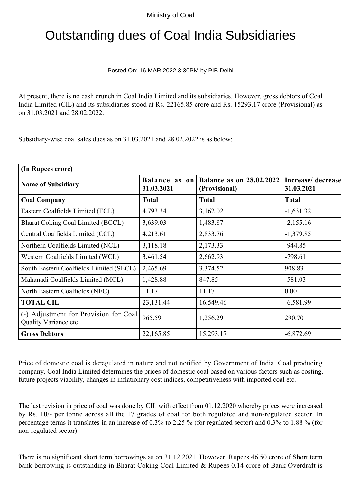## Outstanding dues of Coal India Subsidiaries

Posted On: 16 MAR 2022 3:30PM by PIB Delhi

At present, there is no cash crunch in Coal India Limited and its subsidiaries. However, gross debtors of Coal India Limited (ClL) and its subsidiaries stood at Rs. 22165.85 crore and Rs. 15293.17 crore (Provisional) as on 31.03.2021 and 28.02.2022.

Subsidiary-wise coal sales dues as on 31.03.2021 and 28.02.2022 is as below:

| (In Rupees crore)                                             |              |                                                         |                                  |
|---------------------------------------------------------------|--------------|---------------------------------------------------------|----------------------------------|
| <b>Name of Subsidiary</b>                                     | 31.03.2021   | Balance as on Balance as on 28.02.2022<br>(Provisional) | Increase/ decrease<br>31.03.2021 |
| <b>Coal Company</b>                                           | <b>Total</b> | <b>Total</b>                                            | <b>Total</b>                     |
| Eastern Coalfields Limited (ECL)                              | 4,793.34     | 3,162.02                                                | $-1,631.32$                      |
| <b>Bharat Coking Coal Limited (BCCL)</b>                      | 3,639.03     | 1,483.87                                                | $-2,155.16$                      |
| Central Coalfields Limited (CCL)                              | 4,213.61     | 2,833.76                                                | $-1,379.85$                      |
| Northern Coalfields Limited (NCL)                             | 3,118.18     | 2,173.33                                                | $-944.85$                        |
| Western Coalfields Limited (WCL)                              | 3,461.54     | 2,662.93                                                | $-798.61$                        |
| South Eastern Coalfields Limited (SECL)                       | 2,465.69     | 3,374.52                                                | 908.83                           |
| Mahanadi Coalfields Limited (MCL)                             | 1,428.88     | 847.85                                                  | $-581.03$                        |
| North Eastern Coalfields (NEC)                                | 11.17        | 11.17                                                   | 0.00                             |
| <b>TOTAL CIL</b>                                              | 23,131.44    | 16,549.46                                               | $-6,581.99$                      |
| (-) Adjustment for Provision for Coal<br>Quality Variance etc | 965.59       | 1,256.29                                                | 290.70                           |
| <b>Gross Debtors</b>                                          | 22,165.85    | 15,293.17                                               | $-6,872.69$                      |
|                                                               |              |                                                         |                                  |

Price of domestic coal is deregulated in nature and not notified by Government of India. Coal producing company, Coal India Limited determines the prices of domestic coal based on various factors such as costing, future projects viability, changes in inflationary cost indices, competitiveness with imported coal etc.

The last revision in price of coal was done by CIL with effect from 01.12.2020 whereby prices were increased by Rs. 10/- per tonne across all the 17 grades of coal for both regulated and non-regulated sector. In percentage terms it translates in an increase of 0.3% to 2.25 % (for regulated sector) and 0.3% to 1.88 % (for non-regulated sector).

There is no significant short term borrowings as on 31.12.2021. However, Rupees 46.50 crore of Short term bank borrowing is outstanding in Bharat Coking Coal Limited & Rupees 0.14 crore of Bank Overdraft is